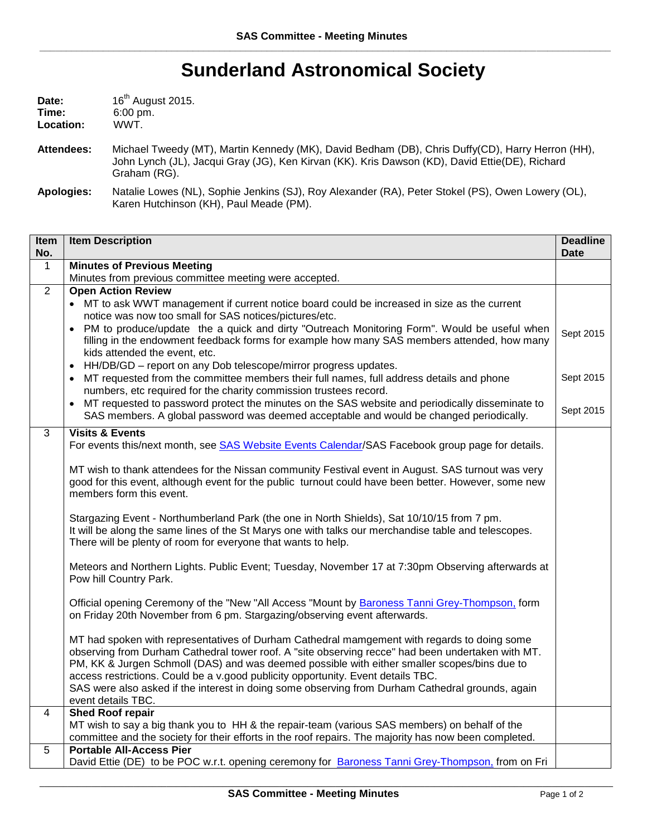## **Sunderland Astronomical Society**

| Date:             | 16 <sup>th</sup> August 2015. |
|-------------------|-------------------------------|
| Time:             | $6:00 \text{ pm}$ .           |
| Location:         | WWT.                          |
| <b>Attendees:</b> | Michael Tweedy (MT            |

**Attendees:** Michael Tweedy (MT), Martin Kennedy (MK), David Bedham (DB), Chris Duffy(CD), Harry Herron (HH), John Lynch (JL), Jacqui Gray (JG), Ken Kirvan (KK). Kris Dawson (KD), David Ettie(DE), Richard Graham (RG).

**Apologies:** Natalie Lowes (NL), Sophie Jenkins (SJ), Roy Alexander (RA), Peter Stokel (PS), Owen Lowery (OL), Karen Hutchinson (KH), Paul Meade (PM).

| Item<br>No. | <b>Item Description</b>                                                                                                                                                                                                                                                                                                                                                                                                                                                                                        | <b>Deadline</b><br><b>Date</b> |
|-------------|----------------------------------------------------------------------------------------------------------------------------------------------------------------------------------------------------------------------------------------------------------------------------------------------------------------------------------------------------------------------------------------------------------------------------------------------------------------------------------------------------------------|--------------------------------|
| $\mathbf 1$ | <b>Minutes of Previous Meeting</b>                                                                                                                                                                                                                                                                                                                                                                                                                                                                             |                                |
|             | Minutes from previous committee meeting were accepted.                                                                                                                                                                                                                                                                                                                                                                                                                                                         |                                |
| 2           | <b>Open Action Review</b>                                                                                                                                                                                                                                                                                                                                                                                                                                                                                      |                                |
|             | • MT to ask WWT management if current notice board could be increased in size as the current<br>notice was now too small for SAS notices/pictures/etc.                                                                                                                                                                                                                                                                                                                                                         |                                |
|             | • PM to produce/update the a quick and dirty "Outreach Monitoring Form". Would be useful when<br>filling in the endowment feedback forms for example how many SAS members attended, how many<br>kids attended the event, etc.                                                                                                                                                                                                                                                                                  | Sept 2015                      |
|             | HH/DB/GD - report on any Dob telescope/mirror progress updates.<br>$\bullet$                                                                                                                                                                                                                                                                                                                                                                                                                                   |                                |
|             | MT requested from the committee members their full names, full address details and phone<br>numbers, etc required for the charity commission trustees record.                                                                                                                                                                                                                                                                                                                                                  | Sept 2015                      |
|             | MT requested to password protect the minutes on the SAS website and periodically disseminate to<br>SAS members. A global password was deemed acceptable and would be changed periodically.                                                                                                                                                                                                                                                                                                                     | Sept 2015                      |
| 3           | <b>Visits &amp; Events</b>                                                                                                                                                                                                                                                                                                                                                                                                                                                                                     |                                |
|             | For events this/next month, see SAS Website Events Calendar/SAS Facebook group page for details.                                                                                                                                                                                                                                                                                                                                                                                                               |                                |
|             | MT wish to thank attendees for the Nissan community Festival event in August. SAS turnout was very<br>good for this event, although event for the public turnout could have been better. However, some new<br>members form this event.                                                                                                                                                                                                                                                                         |                                |
|             | Stargazing Event - Northumberland Park (the one in North Shields), Sat 10/10/15 from 7 pm.<br>It will be along the same lines of the St Marys one with talks our merchandise table and telescopes.<br>There will be plenty of room for everyone that wants to help.                                                                                                                                                                                                                                            |                                |
|             | Meteors and Northern Lights. Public Event; Tuesday, November 17 at 7:30pm Observing afterwards at<br>Pow hill Country Park.                                                                                                                                                                                                                                                                                                                                                                                    |                                |
|             | Official opening Ceremony of the "New "All Access "Mount by Baroness Tanni Grey-Thompson, form<br>on Friday 20th November from 6 pm. Stargazing/observing event afterwards.                                                                                                                                                                                                                                                                                                                                    |                                |
|             | MT had spoken with representatives of Durham Cathedral mamgement with regards to doing some<br>observing from Durham Cathedral tower roof. A "site observing recce" had been undertaken with MT.<br>PM, KK & Jurgen Schmoll (DAS) and was deemed possible with either smaller scopes/bins due to<br>access restrictions. Could be a v.good publicity opportunity. Event details TBC.<br>SAS were also asked if the interest in doing some observing from Durham Cathedral grounds, again<br>event details TBC. |                                |
| 4           | <b>Shed Roof repair</b><br>MT wish to say a big thank you to HH & the repair-team (various SAS members) on behalf of the<br>committee and the society for their efforts in the roof repairs. The majority has now been completed.                                                                                                                                                                                                                                                                              |                                |
| 5           | <b>Portable All-Access Pier</b><br>David Ettie (DE) to be POC w.r.t. opening ceremony for Baroness Tanni Grey-Thompson, from on Fri                                                                                                                                                                                                                                                                                                                                                                            |                                |
|             |                                                                                                                                                                                                                                                                                                                                                                                                                                                                                                                |                                |

\_\_\_\_\_\_\_\_\_\_\_\_\_\_\_\_\_\_\_\_\_\_\_\_\_\_\_\_\_\_\_\_\_\_\_\_\_\_\_\_\_\_\_\_\_\_\_\_\_\_\_\_\_\_\_\_\_\_\_\_\_\_\_\_\_\_\_\_\_\_\_\_\_\_\_\_\_\_\_\_\_\_\_\_\_\_\_\_\_\_\_\_\_\_\_\_\_\_\_\_\_\_\_\_\_\_\_\_\_\_\_\_\_\_\_\_\_\_\_\_\_\_